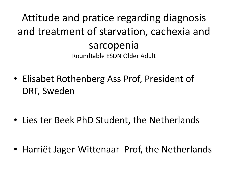#### Attitude and pratice regarding diagnosis and treatment of starvation, cachexia and sarcopenia Roundtable ESDN Older Adult

• Elisabet Rothenberg Ass Prof, President of DRF, Sweden

• Lies ter Beek PhD Student, the Netherlands

• Harriët Jager-Wittenaar Prof, the Netherlands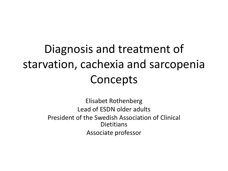#### Diagnosis and treatment of starvation, cachexia and sarcopenia **Concepts**

Elisabet Rothenberg Lead of ESDN older adults President of the Swedish Association of Clinical **Dietitians** Associate professor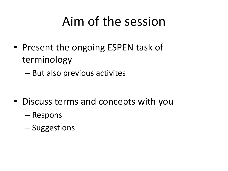### Aim of the session

- Present the ongoing ESPEN task of terminology
	- But also previous activites

- Discuss terms and concepts with you
	- Respons
	- Suggestions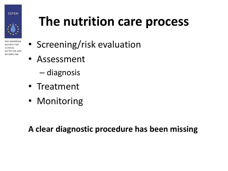**ESPEN** 



THE FUROPEAN **SOCIETY FOR** CLINICAL **NUTRITION AND METABOLISM** 

### **The nutrition care process**

- Screening/risk evaluation
- Assessment
	- diagnosis
- Treatment
- Monitoring

**A clear diagnostic procedure has been missing**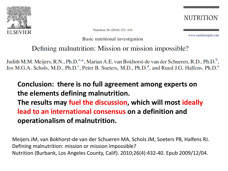

Nutrition 26 (2010) 432-440

Basic nutritional investigation

**NUTRITION** 

www.nutritionirnl.com

#### Defining malnutrition: Mission or mission impossible?

Judith M.M. Meijers, R.N., Ph.D.<sup>a,\*</sup>, Marian A.E. van Bokhorst-de van der Schueren, R.D., Ph.D.<sup>b</sup>, Jos M.G.A. Schols, M.D., Ph.D.<sup>c</sup>, Peter B. Soeters, M.D., Ph.D.<sup>d</sup>, and Ruud J.G. Halfens, Ph.D.<sup>a</sup>

#### **Conclusion: there is no full agreement among experts on the elements defining malnutrition. The results may fuel the discussion, which will most ideally**

**lead to an international consensus on a definition and operationalism of malnutrition.**

Meijers JM, van Bokhorst-de van der Schueren MA, Schols JM, Soeters PB, Halfens RJ. Defining malnutrition: mission or mission impossible? Nutrition (Burbank, Los Angeles County, Calif). 2010;26(4):432-40. Epub 2009/12/04.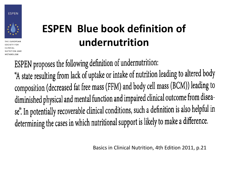



THE FUROPEAN SOCIETY FOR **NUTRITION AND METABOLISM** 

#### **ESPEN Blue book definition of undernutrition**

ESPEN proposes the following definition of undernutrition: "A state resulting from lack of uptake or intake of nutrition leading to altered body composition (decreased fat free mass (FFM) and body cell mass (BCM)) leading to diminished physical and mental function and impaired clinical outcome from disease". In potentially recoverable clinical conditions, such a definition is also helpful in determining the cases in which nutritional support is likely to make a difference.

Basics in Clinical Nutrition, 4th Edition 2011, p.21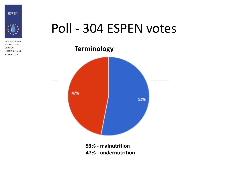



THE EUROPEAN **SOCIETY FOR** CLINICAL **NUTRITION AND METABOLISM** 

#### Poll - 304 ESPEN votes

**Terminology** 47% 53%

> **53% - malnutrition 47% - undernutrition**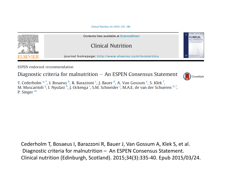Clinical Nutrition 34 (2015) 335-340



**ESPEN** endorsed recommendation

Diagnostic criteria for malnutrition  $-$  An ESPEN Consensus Statement



T. Cederholm <sup>a, \*</sup>, I. Bosaeus <sup>b</sup>, R. Barazzoni <sup>c</sup>, J. Bauer <sup>d</sup>, A. Van Gossum <sup>e</sup>, S. Klek <sup>f</sup>, M. Muscaritoli <sup>g</sup>, I. Nyulasi <sup>h</sup>, J. Ockenga <sup>i</sup>, S.M. Schneider <sup>j</sup>, M.A.E. de van der Schueren <sup>k, l</sup>, P. Singer  $<sup>m</sup>$ </sup>

Cederholm T, Bosaeus I, Barazzoni R, Bauer J, Van Gossum A, Klek S, et al. Diagnostic criteria for malnutrition – An ESPEN Consensus Statement. Clinical nutrition (Edinburgh, Scotland). 2015;34(3):335-40. Epub 2015/03/24.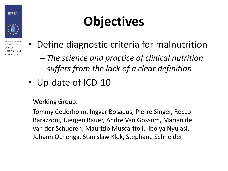



THE FUROPEAN **SOCIETY FOR** CLINICAL **NUTRITION AND METABOLISM** 

# **Objectives**

- Define diagnostic criteria for malnutrition
	- *The science and practice of clinical nutrition suffers from the lack of a clear definition*
- Up-date of ICD-10

Working Group:

Tommy Cederholm, Ingvar Bosaeus, Pierre Singer, Rocco Barazzoni, Juergen Bauer, Andre Van Gossum, Marian de van der Schueren, Maurizio Muscaritoli, Ibolya Nyulasi, Johann Ochenga, Stanislaw Klek, Stephane Schneider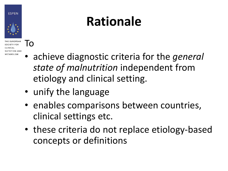#### **ESPEN**



**SOCIETY FOR** NUTRITION AND **METABOLISM** 

To

## **Rationale**

- achieve diagnostic criteria for the *general state of malnutrition* independent from etiology and clinical setting.
- unify the language
- enables comparisons between countries, clinical settings etc.
- these criteria do not replace etiology-based concepts or definitions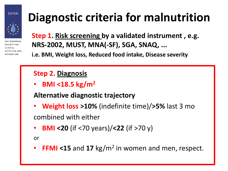#### **ESPEN**



**SOCIETY FOR** CLINICAL **NUTRITION AND METABOLISM** 

### **Diagnostic criteria for malnutrition**

**Step 1. Risk screening by a validated instrument , e.g. NRS-2002, MUST, MNA(-SF), SGA, SNAQ, ...**

**i.e. BMI, Weight loss, Reduced food intake, Disease severity** 

#### **Step 2. Diagnosis**

• **BMI <18.5 kg/m<sup>2</sup>**

#### **Alternative diagnostic trajectory**

- **Weight loss >10%** (indefinite time)/**>5%** last 3 mo combined with either
- **BMI <20** (if <70 years)/**<22** (if >70 y)

or

• **FFMI <15** and **17** kg/m<sup>2</sup> in women and men, respect.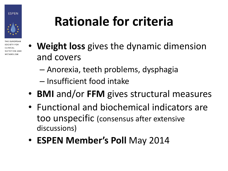



SOCIETY FOR CLINICAL NUTRITION AND **METABOLISM** 

# **Rationale for criteria**

- **Weight loss** gives the dynamic dimension and covers
	- Anorexia, teeth problems, dysphagia
	- Insufficient food intake
- **BMI** and/or **FFM** gives structural measures
- Functional and biochemical indicators are too unspecific (consensus after extensive discussions)
- **ESPEN Member's Poll** May 2014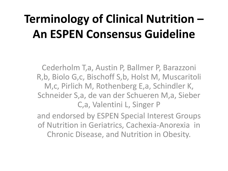#### **Terminology of Clinical Nutrition – An ESPEN Consensus Guideline**

Cederholm T,a, Austin P, Ballmer P, Barazzoni R,b, Biolo G,c, Bischoff S,b, Holst M, Muscaritoli M,c, Pirlich M, Rothenberg E,a, Schindler K, Schneider S,a, de van der Schueren M,a, Sieber C,a, Valentini L, Singer P

and endorsed by ESPEN Special Interest Groups of Nutrition in Geriatrics, Cachexia-Anorexia in Chronic Disease, and Nutrition in Obesity.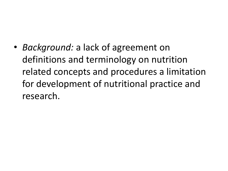• *Background:* a lack of agreement on definitions and terminology on nutrition related concepts and procedures a limitation for development of nutritional practice and research.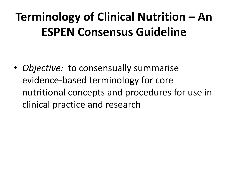### **Terminology of Clinical Nutrition – An ESPEN Consensus Guideline**

• *Objective:* to consensually summarise evidence-based terminology for core nutritional concepts and procedures for use in clinical practice and research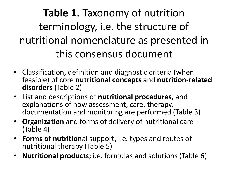**Table 1.** Taxonomy of nutrition terminology, i.e. the structure of nutritional nomenclature as presented in this consensus document

- Classification, definition and diagnostic criteria (when feasible) of core **nutritional concepts** and **nutrition-related disorders** (Table 2)
- List and descriptions of **nutritional procedures,** and explanations of how assessment, care, therapy, documentation and monitoring are performed (Table 3)
- **Organization** and forms of delivery of nutritional care (Table 4)
- **Forms of nutrition**al support, i.e. types and routes of nutritional therapy (Table 5)
- **Nutritional products;** i.e. formulas and solutions (Table 6)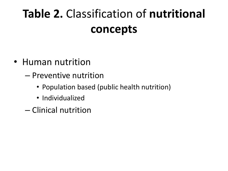### **Table 2.** Classification of **nutritional concepts**

- Human nutrition
	- Preventive nutrition
		- Population based (public health nutrition)
		- Individualized
	- Clinical nutrition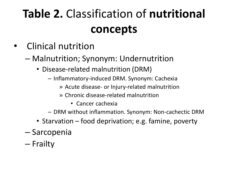### **Table 2.** Classification of **nutritional concepts**

- Clinical nutrition
	- Malnutrition; Synonym: Undernutrition
		- Disease-related malnutrition (DRM)
			- Inflammatory-induced DRM. Synonym: Cachexia
				- » Acute disease- or Injury-related malnutrition
				- » Chronic disease-related malnutrition
					- Cancer cachexia
			- DRM without inflammation. Synonym: Non-cachectic DRM
		- Starvation food deprivation; e.g. famine, poverty
	- Sarcopenia
	- Frailty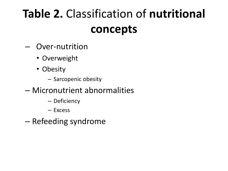### **Table 2.** Classification of **nutritional concepts**

- Over-nutrition
	- Overweight
	- Obesity
		- Sarcopenic obesity
- Micronutrient abnormalities
	- Deficiency
	- Excess
- Refeeding syndrome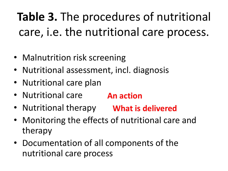### **Table 3.** The procedures of nutritional care, i.e. the nutritional care process.

- Malnutrition risk screening
- Nutritional assessment, incl. diagnosis
- Nutritional care plan
- Nutritional care **An action**
- Nutritional therapy **What is delivered**
- Monitoring the effects of nutritional care and therapy
- Documentation of all components of the nutritional care process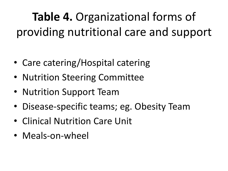**Table 4.** Organizational forms of providing nutritional care and support

- Care catering/Hospital catering
- Nutrition Steering Committee
- Nutrition Support Team
- Disease-specific teams; eg. Obesity Team
- Clinical Nutrition Care Unit
- Meals-on-wheel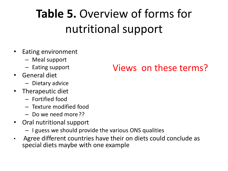### **Table 5.** Overview of forms for nutritional support

- Eating environment
	- Meal support
	- Eating support
- General diet
	- Dietary advice
- Therapeutic diet
	- Fortified food
	- Texture modified food
	- Do we need more??
- Oral nutritional support
	- I guess we should provide the various ONS qualities
- Agree different countries have their on diets could conclude as special diets maybe with one example

#### Views on these terms?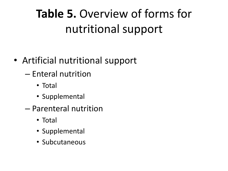### **Table 5.** Overview of forms for nutritional support

- Artificial nutritional support
	- Enteral nutrition
		- Total
		- Supplemental
	- Parenteral nutrition
		- Total
		- Supplemental
		- Subcutaneous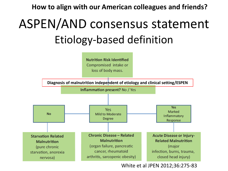**How to align with our American colleagues and friends?**

### ASPEN/AND consensus statement Etiology-based definition



White et al JPEN 2012;36:275-83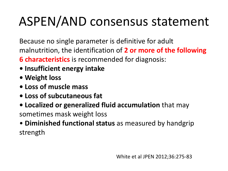## ASPEN/AND consensus statement

Because no single parameter is definitive for adult malnutrition, the identification of **2 or more of the following** 

**6 characteristics** is recommended for diagnosis:

- **Insufficient energy intake**
- **Weight loss**
- **Loss of muscle mass**
- **Loss of subcutaneous fat**
- **Localized or generalized fluid accumulation** that may sometimes mask weight loss
- **Diminished functional status** as measured by handgrip strength